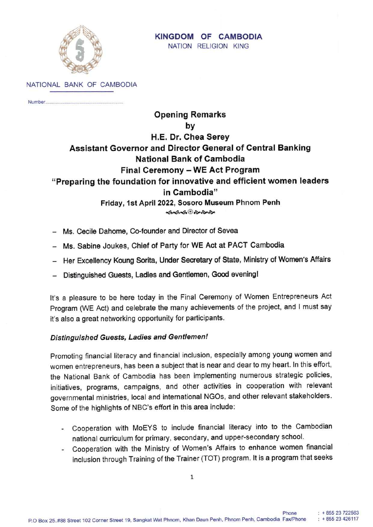

#### KINGDOM OF CAMBODIA NATION RELIGION KING

NATIONAL BANK OF CAMBODIA

Number.

# **Opening Remarks** by H.E. Dr. Chea Serey **Assistant Governor and Director General of Central Banking National Bank of Cambodia** Final Ceremony - WE Act Program "Preparing the foundation for innovative and efficient women leaders in Cambodia" Friday, 1st April 2022, Sosoro Museum Phnom Penh কৰ্কক*ি কৈ কৈ কৈ*

- Ms. Cecile Dahome, Co-founder and Director of Sevea
- Ms. Sabine Joukes, Chief of Party for WE Act at PACT Cambodia
- Her Excellency Koung Sorita, Under Secretary of State, Ministry of Women's Affairs
- Distinguished Guests, Ladies and Gentlemen, Good evening!

It's a pleasure to be here today in the Final Ceremony of Women Entrepreneurs Act Program (WE Act) and celebrate the many achievements of the project, and I must say it's also a great networking opportunity for participants.

## Distinguished Guests, Ladies and Gentlemen!

Promoting financial literacy and financial inclusion, especially among young women and women entrepreneurs, has been a subject that is near and dear to my heart. In this effort, the National Bank of Cambodia has been implementing numerous strategic policies, initiatives, programs, campaigns, and other activities in cooperation with relevant governmental ministries, local and international NGOs, and other relevant stakeholders. Some of the highlights of NBC's effort in this area include:

- Cooperation with MoEYS to include financial literacy into to the Cambodian national curriculum for primary, secondary, and upper-secondary school.
- Cooperation with the Ministry of Women's Affairs to enhance women financial inclusion through Training of the Trainer (TOT) program. It is a program that seeks

Phone

 $: +85523722563$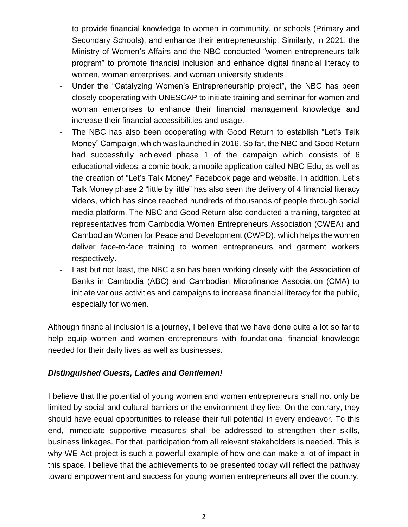to provide financial knowledge to women in community, or schools (Primary and Secondary Schools), and enhance their entrepreneurship. Similarly, in 2021, the Ministry of Women's Affairs and the NBC conducted "women entrepreneurs talk program" to promote financial inclusion and enhance digital financial literacy to women, woman enterprises, and woman university students.

- Under the "Catalyzing Women's Entrepreneurship project", the NBC has been closely cooperating with UNESCAP to initiate training and seminar for women and woman enterprises to enhance their financial management knowledge and increase their financial accessibilities and usage.
- The NBC has also been cooperating with Good Return to establish "Let's Talk Money" Campaign, which was launched in 2016. So far, the NBC and Good Return had successfully achieved phase 1 of the campaign which consists of 6 educational videos, a comic book, a mobile application called NBC-Edu, as well as the creation of "Let's Talk Money" Facebook page and website. In addition, Let's Talk Money phase 2 "little by little" has also seen the delivery of 4 financial literacy videos, which has since reached hundreds of thousands of people through social media platform. The NBC and Good Return also conducted a training, targeted at representatives from Cambodia Women Entrepreneurs Association (CWEA) and Cambodian Women for Peace and Development (CWPD), which helps the women deliver face-to-face training to women entrepreneurs and garment workers respectively.
- Last but not least, the NBC also has been working closely with the Association of Banks in Cambodia (ABC) and Cambodian Microfinance Association (CMA) to initiate various activities and campaigns to increase financial literacy for the public, especially for women.

Although financial inclusion is a journey, I believe that we have done quite a lot so far to help equip women and women entrepreneurs with foundational financial knowledge needed for their daily lives as well as businesses.

### *Distinguished Guests, Ladies and Gentlemen!*

I believe that the potential of young women and women entrepreneurs shall not only be limited by social and cultural barriers or the environment they live. On the contrary, they should have equal opportunities to release their full potential in every endeavor. To this end, immediate supportive measures shall be addressed to strengthen their skills, business linkages. For that, participation from all relevant stakeholders is needed. This is why WE-Act project is such a powerful example of how one can make a lot of impact in this space. I believe that the achievements to be presented today will reflect the pathway toward empowerment and success for young women entrepreneurs all over the country.